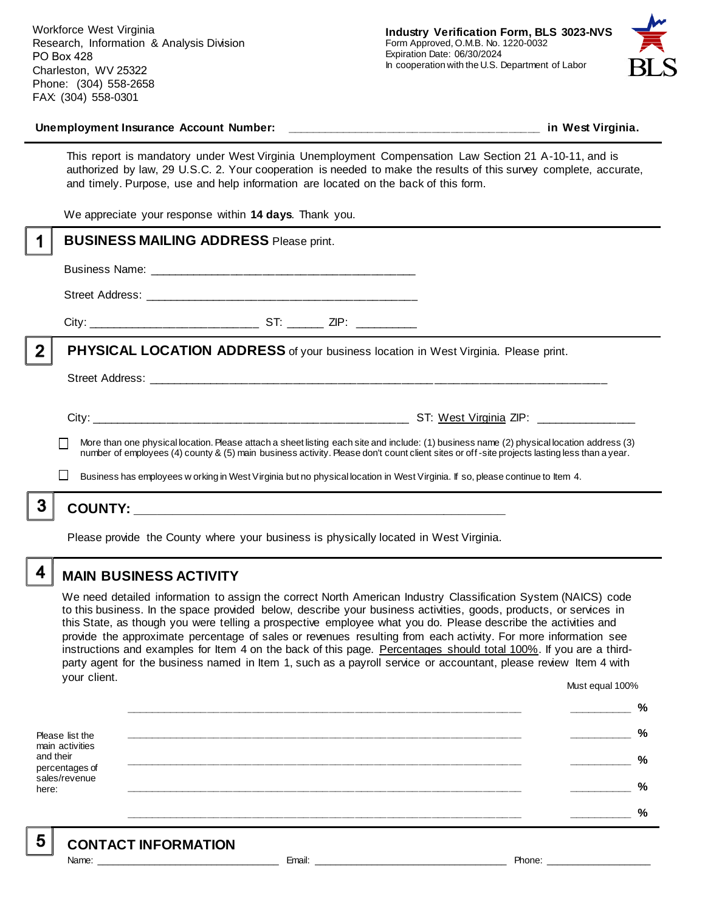Workforce West Virginia Research, Information & Analysis Division PO Box 428 Charleston, WV 25322 Phone: (304) 558-2658 FAX: (304) 558-0301



#### **Unemployment Insurance Account Number: \_\_\_\_\_\_\_\_\_\_\_\_\_\_\_\_\_\_\_\_\_\_\_\_\_\_\_\_\_\_\_\_\_\_\_\_\_\_\_\_ in West Virginia.**

This report is mandatory under West Virginia Unemployment Compensation Law Section 21 A-10-11, and is authorized by law, 29 U.S.C. 2. Your cooperation is needed to make the results of this survey complete, accurate, and timely. Purpose, use and help information are located on the back of this form.

We appreciate your response within **14 days**. Thank you.

|                                                                                                                                                                                                                                                                                          | <b>BUSINESS MAILING ADDRESS Please print.</b>                                       |                                        |
|------------------------------------------------------------------------------------------------------------------------------------------------------------------------------------------------------------------------------------------------------------------------------------------|-------------------------------------------------------------------------------------|----------------------------------------|
|                                                                                                                                                                                                                                                                                          |                                                                                     |                                        |
|                                                                                                                                                                                                                                                                                          |                                                                                     |                                        |
|                                                                                                                                                                                                                                                                                          |                                                                                     |                                        |
| $\overline{2}$                                                                                                                                                                                                                                                                           | PHYSICAL LOCATION ADDRESS of your business location in West Virginia. Please print. |                                        |
|                                                                                                                                                                                                                                                                                          |                                                                                     |                                        |
|                                                                                                                                                                                                                                                                                          |                                                                                     | ST: West Virginia ZIP: _______________ |
| More than one physical location. Please attach a sheet listing each site and include: (1) business name (2) physical location address (3)<br>number of employees (4) county & (5) main business activity. Please don't count client sites or off-site projects lasting less than a year. |                                                                                     |                                        |
| Business has employees w orking in West Virginia but no physical location in West Virginia. If so, please continue to Item 4.                                                                                                                                                            |                                                                                     |                                        |
|                                                                                                                                                                                                                                                                                          |                                                                                     |                                        |
|                                                                                                                                                                                                                                                                                          |                                                                                     |                                        |

Please provide the County where your business is physically located in West Virginia.

4

5

# **MAIN BUSINESS ACTIVITY**

We need detailed information to assign the correct North American Industry Classification System (NAICS) code to this business. In the space provided below, describe your business activities, goods, products, or services in this State, as though you were telling a prospective employee what you do. Please describe the activities and provide the approximate percentage of sales or revenues resulting from each activity. For more information see instructions and examples for Item 4 on the back of this page. Percentages should total 100%. If you are a thirdparty agent for the business named in Item 1, such as a payroll service or accountant, please review Item 4 with your client. Must equal 100%

Please list the main activities and their percentages of sales/revenue here: **\_\_\_\_\_\_\_\_\_\_\_\_\_\_\_\_\_\_\_\_\_\_\_\_\_\_\_\_\_\_\_\_\_\_\_\_\_\_\_\_\_\_\_\_\_\_\_\_\_\_\_\_\_\_\_\_\_\_\_\_\_\_ \_\_\_\_\_\_\_\_\_\_ % \_\_\_\_\_\_\_\_\_\_\_\_\_\_\_\_\_\_\_\_\_\_\_\_\_\_\_\_\_\_\_\_\_\_\_\_\_\_\_\_\_\_\_\_\_\_\_\_\_\_\_\_\_\_\_\_\_\_\_\_\_\_ \_\_\_\_\_\_\_\_\_\_ % \_\_\_\_\_\_\_\_\_\_\_\_\_\_\_\_\_\_\_\_\_\_\_\_\_\_\_\_\_\_\_\_\_\_\_\_\_\_\_\_\_\_\_\_\_\_\_\_\_\_\_\_\_\_\_\_\_\_\_\_\_\_ \_\_\_\_\_\_\_\_\_\_ % \_\_\_\_\_\_\_\_\_\_\_\_\_\_\_\_\_\_\_\_\_\_\_\_\_\_\_\_\_\_\_\_\_\_\_\_\_\_\_\_\_\_\_\_\_\_\_\_\_\_\_\_\_\_\_\_\_\_\_\_\_\_ \_\_\_\_\_\_\_\_\_\_ % \_\_\_\_\_\_\_\_\_\_\_\_\_\_\_\_\_\_\_\_\_\_\_\_\_\_\_\_\_\_\_\_\_\_\_\_\_\_\_\_\_\_\_\_\_\_\_\_\_\_\_\_\_\_\_\_\_\_\_\_\_\_ \_\_\_\_\_\_\_\_\_\_ %**